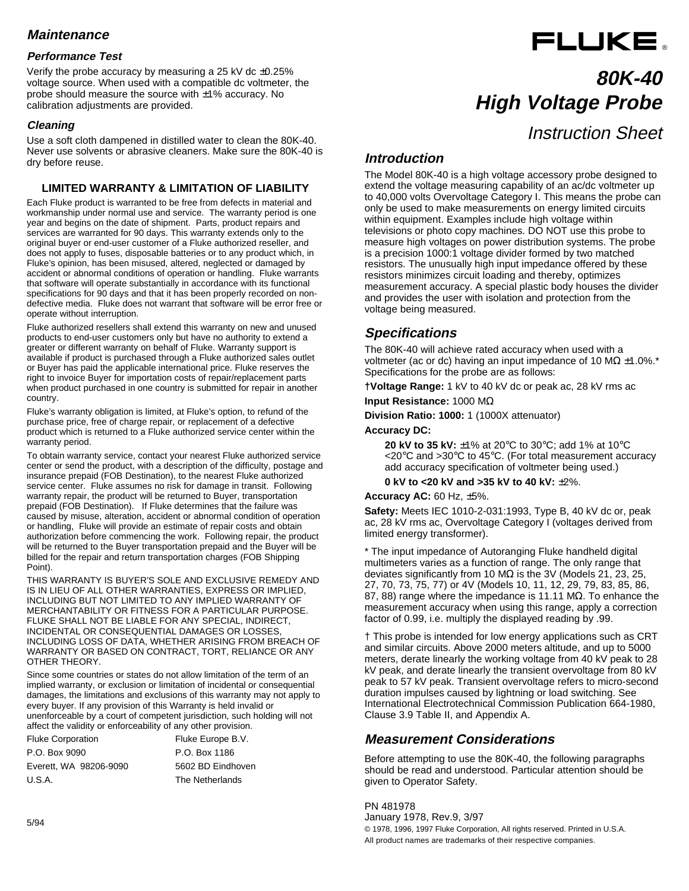## **Maintenance**

## **Performance Test**

Verify the probe accuracy by measuring a 25 kV dc ±0.25% voltage source. When used with a compatible dc voltmeter, the probe should measure the source with ±1% accuracy. No calibration adjustments are provided.

## **Cleaning**

Use a soft cloth dampened in distilled water to clean the 80K-40. Never use solvents or abrasive cleaners. Make sure the 80K-40 is dry before reuse.

## **LIMITED WARRANTY & LIMITATION OF LIABILITY**

Each Fluke product is warranted to be free from defects in material and workmanship under normal use and service. The warranty period is one year and begins on the date of shipment. Parts, product repairs and services are warranted for 90 days. This warranty extends only to the original buyer or end-user customer of a Fluke authorized reseller, and does not apply to fuses, disposable batteries or to any product which, in Fluke's opinion, has been misused, altered, neglected or damaged by accident or abnormal conditions of operation or handling. Fluke warrants that software will operate substantially in accordance with its functional specifications for 90 days and that it has been properly recorded on nondefective media. Fluke does not warrant that software will be error free or operate without interruption.

Fluke authorized resellers shall extend this warranty on new and unused products to end-user customers only but have no authority to extend a greater or different warranty on behalf of Fluke. Warranty support is available if product is purchased through a Fluke authorized sales outlet or Buyer has paid the applicable international price. Fluke reserves the right to invoice Buyer for importation costs of repair/replacement parts when product purchased in one country is submitted for repair in another country.

Fluke's warranty obligation is limited, at Fluke's option, to refund of the purchase price, free of charge repair, or replacement of a defective product which is returned to a Fluke authorized service center within the warranty period.

To obtain warranty service, contact your nearest Fluke authorized service center or send the product, with a description of the difficulty, postage and insurance prepaid (FOB Destination), to the nearest Fluke authorized service center. Fluke assumes no risk for damage in transit. Following warranty repair, the product will be returned to Buyer, transportation prepaid (FOB Destination). If Fluke determines that the failure was caused by misuse, alteration, accident or abnormal condition of operation or handling, Fluke will provide an estimate of repair costs and obtain authorization before commencing the work. Following repair, the product will be returned to the Buyer transportation prepaid and the Buyer will be billed for the repair and return transportation charges (FOB Shipping Point).

THIS WARRANTY IS BUYER'S SOLE AND EXCLUSIVE REMEDY AND IS IN LIEU OF ALL OTHER WARRANTIES, EXPRESS OR IMPLIED, INCLUDING BUT NOT LIMITED TO ANY IMPLIED WARRANTY OF MERCHANTABILITY OR FITNESS FOR A PARTICULAR PURPOSE. FLUKE SHALL NOT BE LIABLE FOR ANY SPECIAL, INDIRECT, INCIDENTAL OR CONSEQUENTIAL DAMAGES OR LOSSES, INCLUDING LOSS OF DATA, WHETHER ARISING FROM BREACH OF WARRANTY OR BASED ON CONTRACT, TORT, RELIANCE OR ANY OTHER THEORY.

Since some countries or states do not allow limitation of the term of an implied warranty, or exclusion or limitation of incidental or consequential damages, the limitations and exclusions of this warranty may not apply to every buyer. If any provision of this Warranty is held invalid or unenforceable by a court of competent jurisdiction, such holding will not affect the validity or enforceability of any other provision.

Fluke Corporation Fluke Europe B.V. P.O. Box 9090 P.O. Box 1186 Everett, WA 98206-9090 5602 BD Eindhoven U.S.A. The Netherlands

# **80K-40 High Voltage Probe** Instruction Sheet

FLUKE.

## **Introduction**

The Model 80K-40 is a high voltage accessory probe designed to extend the voltage measuring capability of an ac/dc voltmeter up to 40,000 volts Overvoltage Category I. This means the probe can only be used to make measurements on energy limited circuits within equipment. Examples include high voltage within televisions or photo copy machines. DO NOT use this probe to measure high voltages on power distribution systems. The probe is a precision 1000:1 voltage divider formed by two matched resistors. The unusually high input impedance offered by these resistors minimizes circuit loading and thereby, optimizes measurement accuracy. A special plastic body houses the divider and provides the user with isolation and protection from the voltage being measured.

## **Specifications**

The 80K-40 will achieve rated accuracy when used with a voltmeter (ac or dc) having an input impedance of 10 MΩ  $\pm$ 1.0%.<sup>\*</sup> Specifications for the probe are as follows:

**†Voltage Range:** 1 kV to 40 kV dc or peak ac, 28 kV rms ac

**Input Resistance:** 1000 MΩ

**Division Ratio: 1000:** 1 (1000X attenuator)

### **Accuracy DC:**

**20 kV to 35 kV:** ±1% at 20°C to 30°C; add 1% at 10°C <20°C and >30°C to 45°C. (For total measurement accuracy add accuracy specification of voltmeter being used.)

**0 kV to <20 kV and >35 kV to 40 kV:** ±2%.

#### **Accuracy AC:** 60 Hz, ±5%.

**Safety:** Meets IEC 1010-2-031:1993, Type B, 40 kV dc or, peak ac, 28 kV rms ac, Overvoltage Category I (voltages derived from limited energy transformer).

\* The input impedance of Autoranging Fluke handheld digital multimeters varies as a function of range. The only range that deviates significantly from 10 M $\Omega$  is the 3V (Models 21, 23, 25, 27, 70, 73, 75, 77) or 4V (Models 10, 11, 12, 29, 79, 83, 85, 86, 87, 88) range where the impedance is 11.11 MΩ. To enhance the measurement accuracy when using this range, apply a correction factor of 0.99, i.e. multiply the displayed reading by .99.

† This probe is intended for low energy applications such as CRT and similar circuits. Above 2000 meters altitude, and up to 5000 meters, derate linearly the working voltage from 40 kV peak to 28 kV peak, and derate linearly the transient overvoltage from 80 kV peak to 57 kV peak. Transient overvoltage refers to micro-second duration impulses caused by lightning or load switching. See International Electrotechnical Commission Publication 664-1980, Clause 3.9 Table II, and Appendix A.

## **Measurement Considerations**

Before attempting to use the 80K-40, the following paragraphs should be read and understood. Particular attention should be given to Operator Safety.

PN 481978 January 1978, Rev.9, 3/97 © 1978, 1996, 1997 Fluke Corporation, All rights reserved. Printed in U.S.A. All product names are trademarks of their respective companies.